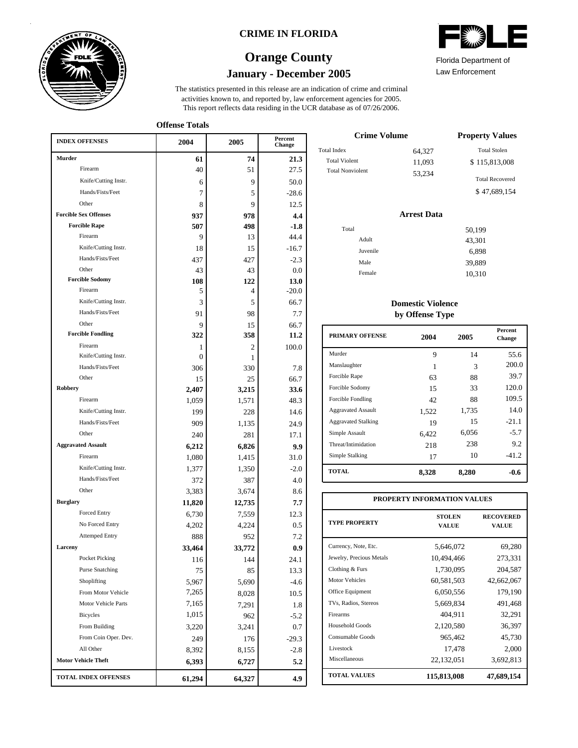

## **CRIME IN FLORIDA**

# **January - December 2005 Orange County**



Florida Department of

Law Enforcement

**Offense Totals**

| <b>INDEX OFFENSES</b>             | 2004          | 2005   | Percent<br>Change |  |
|-----------------------------------|---------------|--------|-------------------|--|
| Murder                            | 61            | 74     | 21.3              |  |
| Firearm                           | 40            | 51     | 27.5              |  |
| Knife/Cutting Instr.              | 6             | 9      | 50.0              |  |
| Hands/Fists/Feet                  | 7             | 5      | $-28.6$           |  |
| Other                             | 8             | 9      | 12.5              |  |
| <b>Forcible Sex Offenses</b>      | 937           | 978    | 4.4               |  |
| <b>Forcible Rape</b>              | 507           | 498    | $-1.8$            |  |
| Firearm                           | 9             | 13     | 44.4              |  |
| Knife/Cutting Instr.              | 18            | 15     | $-16.7$           |  |
| Hands/Fists/Feet                  | 437           | 427    | $-2.3$            |  |
| Other                             | 43            | 43     | 0.0               |  |
| <b>Forcible Sodomy</b>            | 108           | 122    | 13.0              |  |
| Firearm                           | 5             | 4      | $-20.0$           |  |
| Knife/Cutting Instr.              | 3             | 5      | 66.7              |  |
| Hands/Fists/Feet                  | 91            | 98     | 7.7               |  |
| Other<br><b>Forcible Fondling</b> | 9             | 15     | 66.7              |  |
| Firearm                           | 322           | 358    | 11.2              |  |
| Knife/Cutting Instr.              | 1<br>$\Omega$ | 2<br>1 | 100.0             |  |
| Hands/Fists/Feet                  | 306           | 330    | 7.8               |  |
| Other                             | 15            | 25     | 66.7              |  |
| <b>Robbery</b>                    | 2,407         | 3,215  | 33.6              |  |
| Firearm                           | 1,059         | 1,571  | 48.3              |  |
| Knife/Cutting Instr.              | 199           | 228    | 14.6              |  |
| Hands/Fists/Feet                  | 909           | 1,135  | 24.9              |  |
| Other                             | 240           | 281    | 17.1              |  |
| <b>Aggravated Assault</b>         | 6,212         | 6,826  | 9.9               |  |
| Firearm                           | 1,080         | 1,415  | 31.0              |  |
| Knife/Cutting Instr.              | 1,377         | 1,350  | $-2.0$            |  |
| Hands/Fists/Feet                  | 372           | 387    | 4.0               |  |
| Other                             | 3,383         | 3,674  | 8.6               |  |
| <b>Burglary</b>                   | 11,820        | 12,735 | 7.7               |  |
| <b>Forced Entry</b>               | 6,730         | 7,559  | 12.3              |  |
| No Forced Entry                   | 4,202         | 4,224  | 0.5               |  |
| <b>Attemped Entry</b>             | 888           | 952    | 7.2               |  |
| Larceny                           | 33,464        | 33,772 | 0.9               |  |
| Pocket Picking                    | 116           | 144    | 24.1              |  |
| <b>Purse Snatching</b>            | 75            | 85     | 13.3              |  |
| Shoplifting                       | 5,967         | 5,690  | $-4.6$            |  |
| From Motor Vehicle                | 7,265         | 8,028  | 10.5              |  |
| Motor Vehicle Parts               | 7,165         | 7,291  | 1.8               |  |
| Bicycles                          | 1,015         | 962    | $-5.2$            |  |
| From Building                     | 3,220         | 3,241  | 0.7               |  |
| From Coin Oper. Dev.              | 249           | 176    | $-29.3$           |  |
| All Other                         | 8,392         | 8,155  | $-2.8$            |  |
| <b>Motor Vehicle Theft</b>        | 6,393         | 6,727  | 5.2               |  |
| <b>TOTAL INDEX OFFENSES</b>       | 61,294        | 64,327 | 4.9               |  |

| <b>Crime Volume</b>     | <b>Property Values</b> |                        |
|-------------------------|------------------------|------------------------|
| Total Index             | 64,327                 | <b>Total Stolen</b>    |
| <b>Total Violent</b>    | 11,093                 | \$115,813,008          |
| <b>Total Nonviolent</b> | 53.234                 | <b>Total Recovered</b> |
|                         |                        | \$47,689,154           |

#### **Arrest Data**

| Total    | 50,199 |
|----------|--------|
| Adult    | 43,301 |
| Juvenile | 6,898  |
| Male     | 39,889 |
| Female   | 10,310 |
|          |        |

## **Domestic Violence by Offense Type**

| <b>PRIMARY OFFENSE</b>     | 2004  | 2005  | <b>Percent</b><br><b>Change</b> |
|----------------------------|-------|-------|---------------------------------|
| Murder                     | 9     | 14    | 55.6                            |
| Manslaughter               | 1     | 3     | 200.0                           |
| Forcible Rape              | 63    | 88    | 39.7                            |
| Forcible Sodomy            | 15    | 33    | 120.0                           |
| Forcible Fondling          | 42    | 88    | 109.5                           |
| <b>Aggravated Assault</b>  | 1,522 | 1,735 | 14.0                            |
| <b>Aggravated Stalking</b> | 19    | 15    | $-21.1$                         |
| Simple Assault             | 6.422 | 6,056 | $-5.7$                          |
| Threat/Intimidation        | 218   | 238   | 9.2                             |
| Simple Stalking            | 17    | 10    | $-41.2$                         |
| <b>TOTAL</b>               | 8,328 | 8,280 | -0.6                            |

| PROPERTY INFORMATION VALUES |                               |                           |  |  |  |  |  |
|-----------------------------|-------------------------------|---------------------------|--|--|--|--|--|
| <b>TYPE PROPERTY</b>        | <b>STOLEN</b><br><b>VALUE</b> | <b>RECOVERED</b><br>VALUE |  |  |  |  |  |
| Currency, Note, Etc.        | 5,646,072                     | 69,280                    |  |  |  |  |  |
| Jewelry, Precious Metals    | 10,494,466                    | 273,331                   |  |  |  |  |  |
| Clothing & Furs             | 1,730,095                     | 204,587                   |  |  |  |  |  |
| <b>Motor Vehicles</b>       | 60,581,503                    | 42,662,067                |  |  |  |  |  |
| Office Equipment            | 6,050,556                     | 179,190                   |  |  |  |  |  |
| TVs, Radios, Stereos        | 5,669,834                     | 491,468                   |  |  |  |  |  |
| Firearms                    | 404,911                       | 32,291                    |  |  |  |  |  |
| <b>Household Goods</b>      | 2,120,580                     | 36,397                    |  |  |  |  |  |
| Consumable Goods            | 965,462                       | 45,730                    |  |  |  |  |  |
| Livestock                   | 17,478                        | 2,000                     |  |  |  |  |  |
| Miscellaneous               | 22,132,051                    | 3,692,813                 |  |  |  |  |  |
| <b>TOTAL VALUES</b>         | 115,813,008                   | 47,689,154                |  |  |  |  |  |